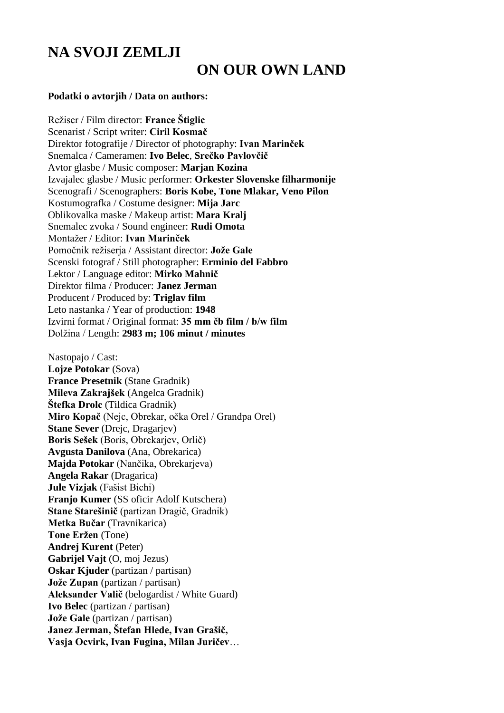## **NA SVOJI ZEMLJI ON OUR OWN LAND**

## **Podatki o avtorjih / Data on authors:**

Režiser / Film director: **France Štiglic** Scenarist / Script writer: **Ciril Kosmač** Direktor fotografije / Director of photography: **Ivan Marinček** Snemalca / Cameramen: **Ivo Belec**, **Srečko Pavlovčič** Avtor glasbe / Music composer: **Marjan Kozina** Izvajalec glasbe / Music performer: **Orkester Slovenske filharmonije** Scenografi / Scenographers: **Boris Kobe, Tone Mlakar, Veno Pilon** Kostumografka / Costume designer: **Mija Jarc** Oblikovalka maske / Makeup artist: **Mara Kralj** Snemalec zvoka / Sound engineer: **Rudi Omota**  Montažer / Editor: **Ivan Marinček**  Pomočnik režiserja / Assistant director: **Jože Gale** Scenski fotograf / Still photographer: **Erminio del Fabbro** Lektor / Language editor: **Mirko Mahnič** Direktor filma / Producer: **Janez Jerman** Producent / Produced by: **Triglav film** Leto nastanka / Year of production: **1948** Izvirni format / Original format: **35 mm čb film / b/w film** Dolžina / Length: **2983 m; 106 minut / minutes**

Nastopajo / Cast: **Lojze Potokar** (Sova) **France Presetnik** (Stane Gradnik) **Mileva Zakrajšek** (Angelca Gradnik) **Štefka Drolc** (Tildica Gradnik) **Miro Kopač** (Nejc, Obrekar, očka Orel / Grandpa Orel) **Stane Sever** (Drejc, Dragarjev) **Boris Sešek** (Boris, Obrekarjev, Orlič) **Avgusta Danilova** (Ana, Obrekarica) **Majda Potokar** (Nančika, Obrekarjeva) **Angela Rakar** (Dragarica) **Jule Vizjak** (Fašist Bichi) **Franjo Kumer** (SS oficir Adolf Kutschera) **Stane Starešinič** (partizan Dragič, Gradnik) **Metka Bučar** (Travnikarica) **Tone Eržen** (Tone) **Andrej Kurent** (Peter) **Gabrijel Vajt** (O, moj Jezus) **Oskar Kjuder** (partizan / partisan) **Jože Zupan** (partizan / partisan) **Aleksander Valič** (belogardist / White Guard) **Ivo Belec** (partizan / partisan) **Jože Gale** (partizan / partisan) **Janez Jerman, Štefan Hlede, Ivan Grašič, Vasja Ocvirk, Ivan Fugina, Milan Juričev**…